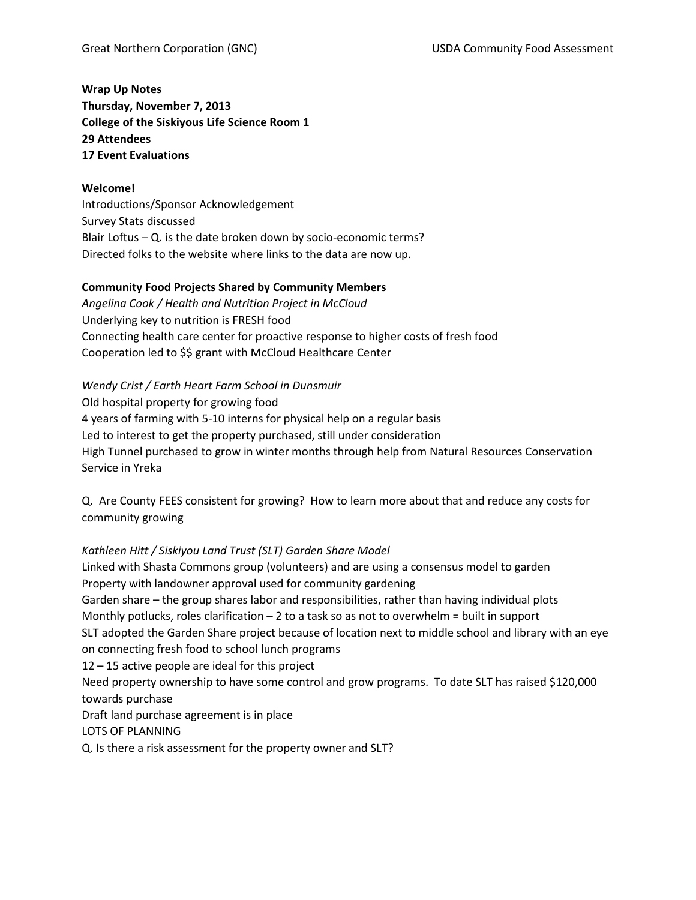**Wrap Up Notes Thursday, November 7, 2013 College of the Siskiyous Life Science Room 1 29 Attendees 17 Event Evaluations**

### **Welcome!**

Introductions/Sponsor Acknowledgement Survey Stats discussed Blair Loftus – Q. is the date broken down by socio-economic terms? Directed folks to the website where links to the data are now up.

### **Community Food Projects Shared by Community Members**

*Angelina Cook / Health and Nutrition Project in McCloud* Underlying key to nutrition is FRESH food Connecting health care center for proactive response to higher costs of fresh food Cooperation led to \$\$ grant with McCloud Healthcare Center

#### *Wendy Crist / Earth Heart Farm School in Dunsmuir*

Old hospital property for growing food 4 years of farming with 5-10 interns for physical help on a regular basis Led to interest to get the property purchased, still under consideration High Tunnel purchased to grow in winter months through help from Natural Resources Conservation Service in Yreka

Q. Are County FEES consistent for growing? How to learn more about that and reduce any costs for community growing

### *Kathleen Hitt / Siskiyou Land Trust (SLT) Garden Share Model*

Linked with Shasta Commons group (volunteers) and are using a consensus model to garden Property with landowner approval used for community gardening Garden share – the group shares labor and responsibilities, rather than having individual plots Monthly potlucks, roles clarification – 2 to a task so as not to overwhelm = built in support SLT adopted the Garden Share project because of location next to middle school and library with an eye on connecting fresh food to school lunch programs 12 – 15 active people are ideal for this project Need property ownership to have some control and grow programs. To date SLT has raised \$120,000 towards purchase Draft land purchase agreement is in place LOTS OF PLANNING Q. Is there a risk assessment for the property owner and SLT?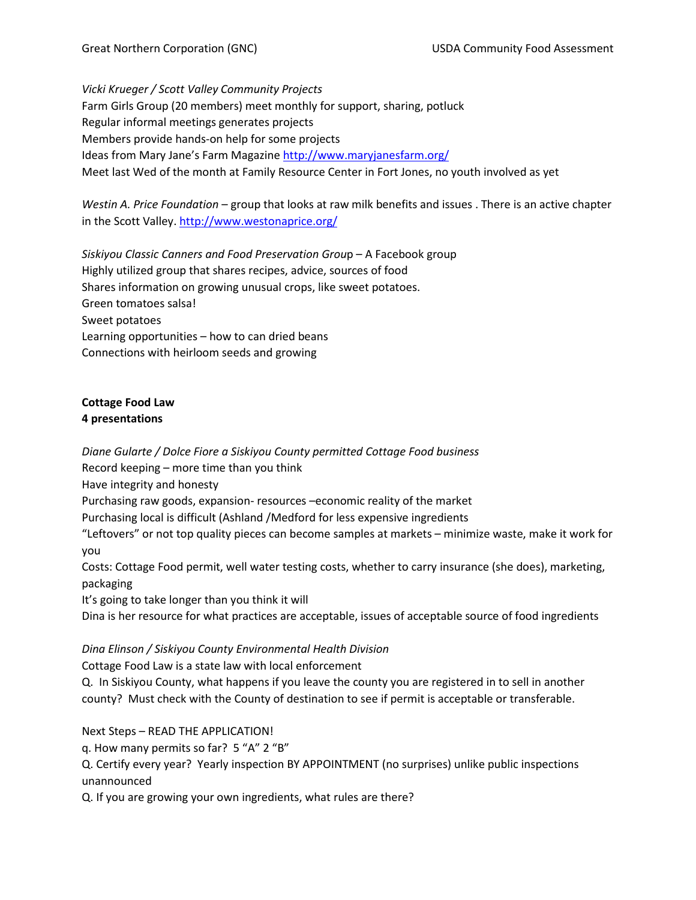*Vicki Krueger / Scott Valley Community Projects* Farm Girls Group (20 members) meet monthly for support, sharing, potluck Regular informal meetings generates projects Members provide hands-on help for some projects Ideas from Mary Jane's Farm Magazine<http://www.maryjanesfarm.org/> Meet last Wed of the month at Family Resource Center in Fort Jones, no youth involved as yet

*Westin A. Price Foundation* – group that looks at raw milk benefits and issues . There is an active chapter in the Scott Valley.<http://www.westonaprice.org/>

*Siskiyou Classic Canners and Food Preservation Grou*p – A Facebook group Highly utilized group that shares recipes, advice, sources of food Shares information on growing unusual crops, like sweet potatoes. Green tomatoes salsa! Sweet potatoes Learning opportunities – how to can dried beans Connections with heirloom seeds and growing

# **Cottage Food Law 4 presentations**

*Diane Gularte / Dolce Fiore a Siskiyou County permitted Cottage Food business*

Record keeping – more time than you think

Have integrity and honesty

Purchasing raw goods, expansion- resources –economic reality of the market

Purchasing local is difficult (Ashland /Medford for less expensive ingredients

"Leftovers" or not top quality pieces can become samples at markets – minimize waste, make it work for you

Costs: Cottage Food permit, well water testing costs, whether to carry insurance (she does), marketing, packaging

It's going to take longer than you think it will

Dina is her resource for what practices are acceptable, issues of acceptable source of food ingredients

# *Dina Elinson / Siskiyou County Environmental Health Division*

Cottage Food Law is a state law with local enforcement

Q. In Siskiyou County, what happens if you leave the county you are registered in to sell in another county? Must check with the County of destination to see if permit is acceptable or transferable.

Next Steps – READ THE APPLICATION!

q. How many permits so far? 5 "A" 2 "B"

Q. Certify every year? Yearly inspection BY APPOINTMENT (no surprises) unlike public inspections unannounced

Q. If you are growing your own ingredients, what rules are there?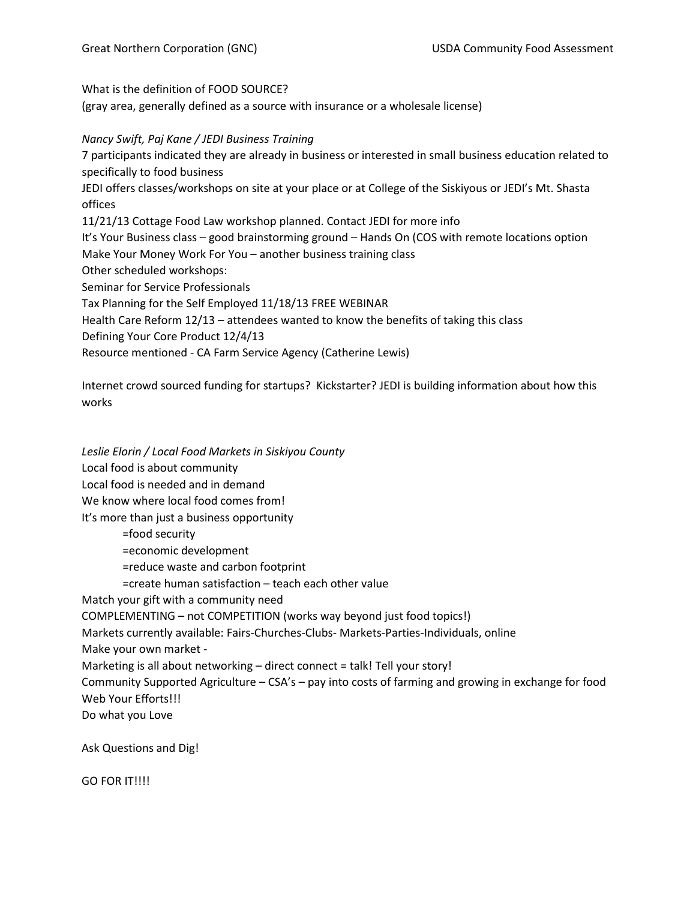What is the definition of FOOD SOURCE?

(gray area, generally defined as a source with insurance or a wholesale license)

#### *Nancy Swift, Paj Kane / JEDI Business Training*

7 participants indicated they are already in business or interested in small business education related to specifically to food business JEDI offers classes/workshops on site at your place or at College of the Siskiyous or JEDI's Mt. Shasta offices 11/21/13 Cottage Food Law workshop planned. Contact JEDI for more info It's Your Business class – good brainstorming ground – Hands On (COS with remote locations option Make Your Money Work For You – another business training class Other scheduled workshops: Seminar for Service Professionals Tax Planning for the Self Employed 11/18/13 FREE WEBINAR Health Care Reform 12/13 – attendees wanted to know the benefits of taking this class Defining Your Core Product 12/4/13 Resource mentioned - CA Farm Service Agency (Catherine Lewis)

Internet crowd sourced funding for startups? Kickstarter? JEDI is building information about how this works

*Leslie Elorin / Local Food Markets in Siskiyou County* Local food is about community Local food is needed and in demand We know where local food comes from! It's more than just a business opportunity =food security =economic development =reduce waste and carbon footprint

=create human satisfaction – teach each other value

Match your gift with a community need

COMPLEMENTING – not COMPETITION (works way beyond just food topics!)

Markets currently available: Fairs-Churches-Clubs- Markets-Parties-Individuals, online

Make your own market -

Marketing is all about networking – direct connect = talk! Tell your story!

Community Supported Agriculture – CSA's – pay into costs of farming and growing in exchange for food Web Your Efforts!!!

Do what you Love

Ask Questions and Dig!

GO FOR IT!!!!